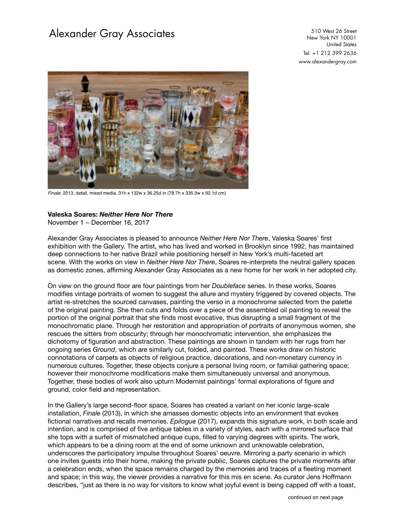## Alexander Gray Associates 510 West 26 Street

New York NY 10001 United States Tel: +1 212 399 2636 [www.alexandergray.com](http://www.alexandergray.com)



*Finale*, 2013, detail, mixed media, 31h x 132w x 36.25d in (78.7h x 335.3w x 92.1d cm)

## **Valeska Soares:** *Neither Here Nor There*

November 1 – December 16, 2017

Alexander Gray Associates is pleased to announce *Neither Here Nor There*, Valeska Soares' first exhibition with the Gallery. The artist, who has lived and worked in Brooklyn since 1992, has maintained deep connections to her native Brazil while positioning herself in New York's multi-faceted art scene. With the works on view in *Neither Here Nor There*, Soares re-interprets the neutral gallery spaces as domestic zones, affirming Alexander Gray Associates as a new home for her work in her adopted city.

On view on the ground floor are four paintings from her *Doubleface* series. In these works, Soares modifies vintage portraits of women to suggest the allure and mystery triggered by covered objects. The artist re-stretches the sourced canvases, painting the verso in a monochrome selected from the palette of the original painting. She then cuts and folds over a piece of the assembled oil painting to reveal the portion of the original portrait that she finds most evocative, thus disrupting a small fragment of the monochromatic plane. Through her restoration and appropriation of portraits of anonymous women, she rescues the sitters from obscurity; through her monochromatic intervention, she emphasizes the dichotomy of figuration and abstraction. These paintings are shown in tandem with her rugs from her ongoing series *Ground*, which are similarly cut, folded, and painted. These works draw on historic connotations of carpets as objects of religious practice, decorations, and non-monetary currency in numerous cultures. Together, these objects conjure a personal living room, or familial gathering space; however their monochrome modifications make them simultaneously universal and anonymous. Together, these bodies of work also upturn Modernist paintings' formal explorations of figure and ground, color field and representation.

In the Gallery's large second-floor space, Soares has created a variant on her iconic large-scale installation, *Finale* (2013), in which she amasses domestic objects into an environment that evokes fictional narratives and recalls memories. *Epilogue* (2017), expands this signature work, in both scale and intention, and is comprised of five antique tables in a variety of styles, each with a mirrored surface that she tops with a surfeit of mismatched antique cups, filled to varying degrees with spirits. The work, which appears to be a dining room at the end of some unknown and unknowable celebration, underscores the participatory impulse throughout Soares' oeuvre. Mirroring a party scenario in which one invites guests into their home, making the private public, Soares captures the private moments after a celebration ends, when the space remains charged by the memories and traces of a fleeting moment and space; in this way, the viewer provides a narrative for this mis en scene. As curator Jens Hoffmann describes, "just as there is no way for visitors to know what joyful event is being capped off with a toast,